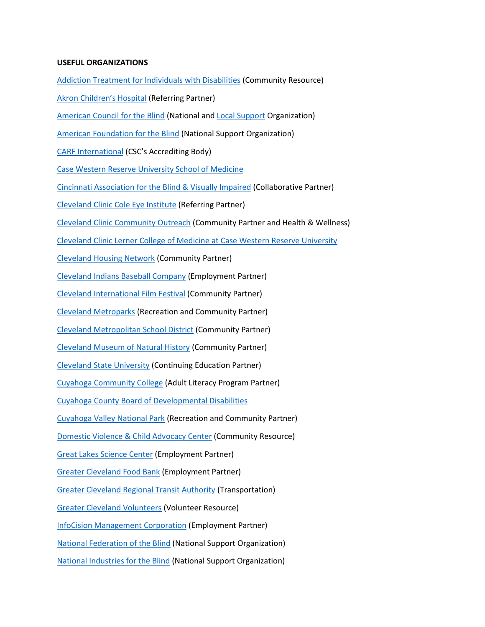## **USEFUL ORGANIZATIONS**

| <b>Addiction Treatment for Individuals with Disabilities (Community Resource)</b>        |
|------------------------------------------------------------------------------------------|
| <b>Akron Children's Hospital (Referring Partner)</b>                                     |
| <b>American Council for the Blind (National and Local Support Organization)</b>          |
| <b>American Foundation for the Blind (National Support Organization)</b>                 |
| <b>CARF International (CSC's Accrediting Body)</b>                                       |
| Case Western Reserve University School of Medicine                                       |
| Cincinnati Association for the Blind & Visually Impaired (Collaborative Partner)         |
| <b>Cleveland Clinic Cole Eye Institute (Referring Partner)</b>                           |
| <b>Cleveland Clinic Community Outreach (Community Partner and Health &amp; Wellness)</b> |
| Cleveland Clinic Lerner College of Medicine at Case Western Reserve University           |
| <b>Cleveland Housing Network (Community Partner)</b>                                     |
| Cleveland Indians Baseball Company (Employment Partner)                                  |
| <b>Cleveland International Film Festival (Community Partner)</b>                         |
| <b>Cleveland Metroparks (Recreation and Community Partner)</b>                           |
| <b>Cleveland Metropolitan School District (Community Partner)</b>                        |
| <b>Cleveland Museum of Natural History (Community Partner)</b>                           |
| <b>Cleveland State University (Continuing Education Partner)</b>                         |
| Cuyahoga Community College (Adult Literacy Program Partner)                              |
| <b>Cuyahoga County Board of Developmental Disabilities</b>                               |
| Cuyahoga Valley National Park (Recreation and Community Partner)                         |
| Domestic Violence & Child Advocacy Center (Community Resource)                           |
| <b>Great Lakes Science Center (Employment Partner)</b>                                   |
| <b>Greater Cleveland Food Bank (Employment Partner)</b>                                  |
| <b>Greater Cleveland Regional Transit Authority (Transportation)</b>                     |
| <b>Greater Cleveland Volunteers (Volunteer Resource)</b>                                 |
| <b>InfoCision Management Corporation (Employment Partner)</b>                            |
| <b>National Federation of the Blind (National Support Organization)</b>                  |
| <b>National Industries for the Blind (National Support Organization)</b>                 |